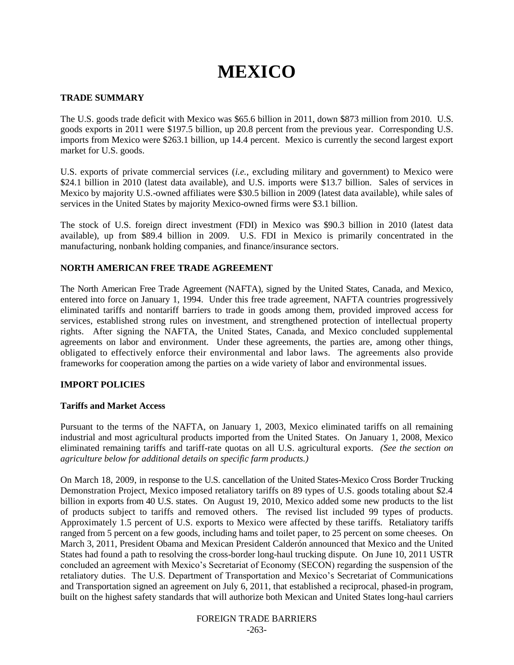# **MEXICO**

## **TRADE SUMMARY**

The U.S. goods trade deficit with Mexico was \$65.6 billion in 2011, down \$873 million from 2010. U.S. goods exports in 2011 were \$197.5 billion, up 20.8 percent from the previous year. Corresponding U.S. imports from Mexico were \$263.1 billion, up 14.4 percent. Mexico is currently the second largest export market for U.S. goods.

U.S. exports of private commercial services (*i.e.*, excluding military and government) to Mexico were \$24.1 billion in 2010 (latest data available), and U.S. imports were \$13.7 billion. Sales of services in Mexico by majority U.S.-owned affiliates were \$30.5 billion in 2009 (latest data available), while sales of services in the United States by majority Mexico-owned firms were \$3.1 billion.

The stock of U.S. foreign direct investment (FDI) in Mexico was \$90.3 billion in 2010 (latest data available), up from \$89.4 billion in 2009. U.S. FDI in Mexico is primarily concentrated in the manufacturing, nonbank holding companies, and finance/insurance sectors.

## **NORTH AMERICAN FREE TRADE AGREEMENT**

The North American Free Trade Agreement (NAFTA), signed by the United States, Canada, and Mexico, entered into force on January 1, 1994. Under this free trade agreement, NAFTA countries progressively eliminated tariffs and nontariff barriers to trade in goods among them, provided improved access for services, established strong rules on investment, and strengthened protection of intellectual property rights. After signing the NAFTA, the United States, Canada, and Mexico concluded supplemental agreements on labor and environment. Under these agreements, the parties are, among other things, obligated to effectively enforce their environmental and labor laws. The agreements also provide frameworks for cooperation among the parties on a wide variety of labor and environmental issues.

## **IMPORT POLICIES**

## **Tariffs and Market Access**

Pursuant to the terms of the NAFTA, on January 1, 2003, Mexico eliminated tariffs on all remaining industrial and most agricultural products imported from the United States. On January 1, 2008, Mexico eliminated remaining tariffs and tariff-rate quotas on all U.S. agricultural exports. *(See the section on agriculture below for additional details on specific farm products.)*

On March 18, 2009, in response to the U.S. cancellation of the United States-Mexico Cross Border Trucking Demonstration Project, Mexico imposed retaliatory tariffs on 89 types of U.S. goods totaling about \$2.4 billion in exports from 40 U.S. states. On August 19, 2010, Mexico added some new products to the list of products subject to tariffs and removed others. The revised list included 99 types of products. Approximately 1.5 percent of U.S. exports to Mexico were affected by these tariffs. Retaliatory tariffs ranged from 5 percent on a few goods, including hams and toilet paper, to 25 percent on some cheeses. On March 3, 2011, President Obama and Mexican President Calderón announced that Mexico and the United States had found a path to resolving the cross-border long-haul trucking dispute. On June 10, 2011 USTR concluded an agreement with Mexico"s Secretariat of Economy (SECON) regarding the suspension of the retaliatory duties. The U.S. Department of Transportation and Mexico"s Secretariat of Communications and Transportation signed an agreement on July 6, 2011, that established a reciprocal, phased-in program, built on the highest safety standards that will authorize both Mexican and United States long-haul carriers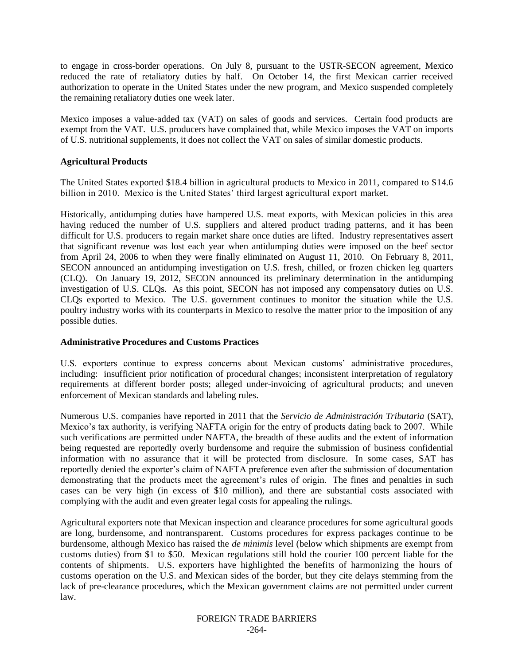to engage in cross-border operations. On July 8, pursuant to the USTR-SECON agreement, Mexico reduced the rate of retaliatory duties by half. On October 14, the first Mexican carrier received authorization to operate in the United States under the new program, and Mexico suspended completely the remaining retaliatory duties one week later.

Mexico imposes a value-added tax (VAT) on sales of goods and services. Certain food products are exempt from the VAT. U.S. producers have complained that, while Mexico imposes the VAT on imports of U.S. nutritional supplements, it does not collect the VAT on sales of similar domestic products.

## **Agricultural Products**

The United States exported \$18.4 billion in agricultural products to Mexico in 2011, compared to \$14.6 billion in 2010. Mexico is the United States' third largest agricultural export market.

Historically, antidumping duties have hampered U.S. meat exports, with Mexican policies in this area having reduced the number of U.S. suppliers and altered product trading patterns, and it has been difficult for U.S. producers to regain market share once duties are lifted. Industry representatives assert that significant revenue was lost each year when antidumping duties were imposed on the beef sector from April 24, 2006 to when they were finally eliminated on August 11, 2010. On February 8, 2011, SECON announced an antidumping investigation on U.S. fresh, chilled, or frozen chicken leg quarters (CLQ). On January 19, 2012, SECON announced its preliminary determination in the antidumping investigation of U.S. CLQs. As this point, SECON has not imposed any compensatory duties on U.S. CLQs exported to Mexico. The U.S. government continues to monitor the situation while the U.S. poultry industry works with its counterparts in Mexico to resolve the matter prior to the imposition of any possible duties.

## **Administrative Procedures and Customs Practices**

U.S. exporters continue to express concerns about Mexican customs' administrative procedures, including: insufficient prior notification of procedural changes; inconsistent interpretation of regulatory requirements at different border posts; alleged under-invoicing of agricultural products; and uneven enforcement of Mexican standards and labeling rules.

Numerous U.S. companies have reported in 2011 that the *Servicio de Administración Tributaria* (SAT), Mexico's tax authority, is verifying NAFTA origin for the entry of products dating back to 2007. While such verifications are permitted under NAFTA, the breadth of these audits and the extent of information being requested are reportedly overly burdensome and require the submission of business confidential information with no assurance that it will be protected from disclosure. In some cases, SAT has reportedly denied the exporter"s claim of NAFTA preference even after the submission of documentation demonstrating that the products meet the agreement's rules of origin. The fines and penalties in such cases can be very high (in excess of \$10 million), and there are substantial costs associated with complying with the audit and even greater legal costs for appealing the rulings.

Agricultural exporters note that Mexican inspection and clearance procedures for some agricultural goods are long, burdensome, and nontransparent. Customs procedures for express packages continue to be burdensome, although Mexico has raised the *de minimis* level (below which shipments are exempt from customs duties) from \$1 to \$50. Mexican regulations still hold the courier 100 percent liable for the contents of shipments. U.S. exporters have highlighted the benefits of harmonizing the hours of customs operation on the U.S. and Mexican sides of the border, but they cite delays stemming from the lack of pre-clearance procedures, which the Mexican government claims are not permitted under current law.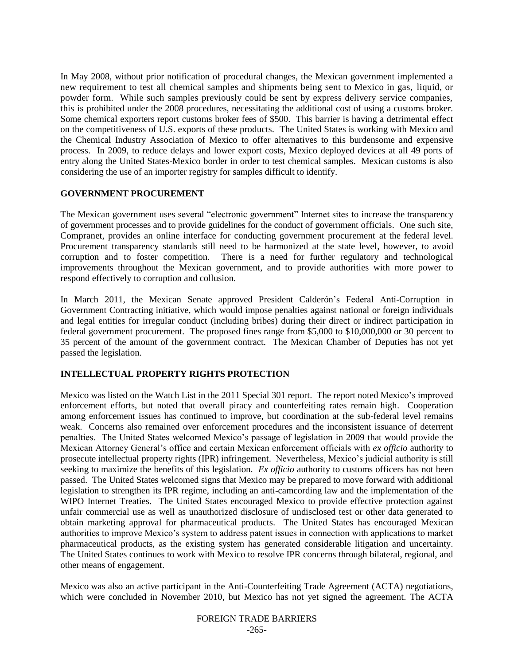In May 2008, without prior notification of procedural changes, the Mexican government implemented a new requirement to test all chemical samples and shipments being sent to Mexico in gas, liquid, or powder form. While such samples previously could be sent by express delivery service companies, this is prohibited under the 2008 procedures, necessitating the additional cost of using a customs broker. Some chemical exporters report customs broker fees of \$500. This barrier is having a detrimental effect on the competitiveness of U.S. exports of these products. The United States is working with Mexico and the Chemical Industry Association of Mexico to offer alternatives to this burdensome and expensive process. In 2009, to reduce delays and lower export costs, Mexico deployed devices at all 49 ports of entry along the United States-Mexico border in order to test chemical samples. Mexican customs is also considering the use of an importer registry for samples difficult to identify.

## **GOVERNMENT PROCUREMENT**

The Mexican government uses several "electronic government" Internet sites to increase the transparency of government processes and to provide guidelines for the conduct of government officials. One such site, Compranet, provides an online interface for conducting government procurement at the federal level. Procurement transparency standards still need to be harmonized at the state level, however, to avoid corruption and to foster competition. There is a need for further regulatory and technological improvements throughout the Mexican government, and to provide authorities with more power to respond effectively to corruption and collusion.

In March 2011, the Mexican Senate approved President Calderón"s Federal Anti-Corruption in Government Contracting initiative, which would impose penalties against national or foreign individuals and legal entities for irregular conduct (including bribes) during their direct or indirect participation in federal government procurement. The proposed fines range from \$5,000 to \$10,000,000 or 30 percent to 35 percent of the amount of the government contract. The Mexican Chamber of Deputies has not yet passed the legislation.

## **INTELLECTUAL PROPERTY RIGHTS PROTECTION**

Mexico was listed on the Watch List in the 2011 Special 301 report. The report noted Mexico"s improved enforcement efforts, but noted that overall piracy and counterfeiting rates remain high. Cooperation among enforcement issues has continued to improve, but coordination at the sub-federal level remains weak. Concerns also remained over enforcement procedures and the inconsistent issuance of deterrent penalties. The United States welcomed Mexico"s passage of legislation in 2009 that would provide the Mexican Attorney General"s office and certain Mexican enforcement officials with *ex officio* authority to prosecute intellectual property rights (IPR) infringement. Nevertheless, Mexico"s judicial authority is still seeking to maximize the benefits of this legislation. *Ex officio* authority to customs officers has not been passed. The United States welcomed signs that Mexico may be prepared to move forward with additional legislation to strengthen its IPR regime, including an anti-camcording law and the implementation of the WIPO Internet Treaties. The United States encouraged Mexico to provide effective protection against unfair commercial use as well as unauthorized disclosure of undisclosed test or other data generated to obtain marketing approval for pharmaceutical products. The United States has encouraged Mexican authorities to improve Mexico"s system to address patent issues in connection with applications to market pharmaceutical products, as the existing system has generated considerable litigation and uncertainty. The United States continues to work with Mexico to resolve IPR concerns through bilateral, regional, and other means of engagement.

Mexico was also an active participant in the Anti-Counterfeiting Trade Agreement (ACTA) negotiations, which were concluded in November 2010, but Mexico has not yet signed the agreement. The ACTA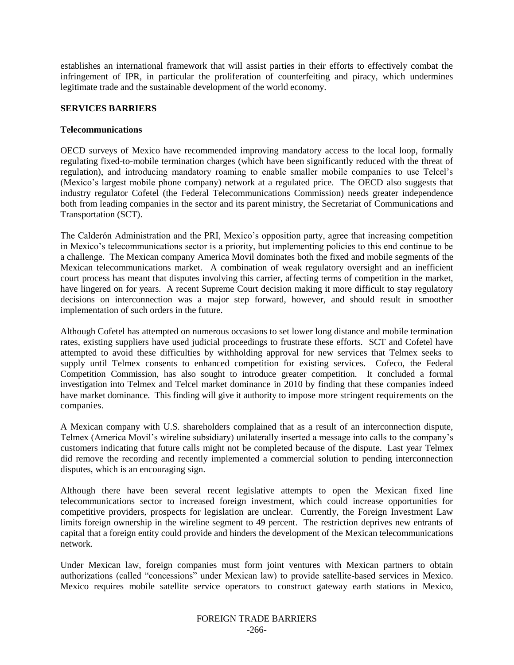establishes an international framework that will assist parties in their efforts to effectively combat the infringement of IPR, in particular the proliferation of counterfeiting and piracy, which undermines legitimate trade and the sustainable development of the world economy.

## **SERVICES BARRIERS**

## **Telecommunications**

OECD surveys of Mexico have recommended improving mandatory access to the local loop, formally regulating fixed-to-mobile termination charges (which have been significantly reduced with the threat of regulation), and introducing mandatory roaming to enable smaller mobile companies to use Telcel"s (Mexico"s largest mobile phone company) network at a regulated price. The OECD also suggests that industry regulator Cofetel (the Federal Telecommunications Commission) needs greater independence both from leading companies in the sector and its parent ministry, the Secretariat of Communications and Transportation (SCT).

The Calderón Administration and the PRI, Mexico"s opposition party, agree that increasing competition in Mexico"s telecommunications sector is a priority, but implementing policies to this end continue to be a challenge. The Mexican company America Movil dominates both the fixed and mobile segments of the Mexican telecommunications market. A combination of weak regulatory oversight and an inefficient court process has meant that disputes involving this carrier, affecting terms of competition in the market, have lingered on for years. A recent Supreme Court decision making it more difficult to stay regulatory decisions on interconnection was a major step forward, however, and should result in smoother implementation of such orders in the future.

Although Cofetel has attempted on numerous occasions to set lower long distance and mobile termination rates, existing suppliers have used judicial proceedings to frustrate these efforts. SCT and Cofetel have attempted to avoid these difficulties by withholding approval for new services that Telmex seeks to supply until Telmex consents to enhanced competition for existing services. Cofeco, the Federal Competition Commission, has also sought to introduce greater competition. It concluded a formal investigation into Telmex and Telcel market dominance in 2010 by finding that these companies indeed have market dominance. This finding will give it authority to impose more stringent requirements on the companies.

A Mexican company with U.S. shareholders complained that as a result of an interconnection dispute, Telmex (America Movil"s wireline subsidiary) unilaterally inserted a message into calls to the company"s customers indicating that future calls might not be completed because of the dispute. Last year Telmex did remove the recording and recently implemented a commercial solution to pending interconnection disputes, which is an encouraging sign.

Although there have been several recent legislative attempts to open the Mexican fixed line telecommunications sector to increased foreign investment, which could increase opportunities for competitive providers, prospects for legislation are unclear. Currently, the Foreign Investment Law limits foreign ownership in the wireline segment to 49 percent. The restriction deprives new entrants of capital that a foreign entity could provide and hinders the development of the Mexican telecommunications network.

Under Mexican law, foreign companies must form joint ventures with Mexican partners to obtain authorizations (called "concessions" under Mexican law) to provide satellite-based services in Mexico. Mexico requires mobile satellite service operators to construct gateway earth stations in Mexico,